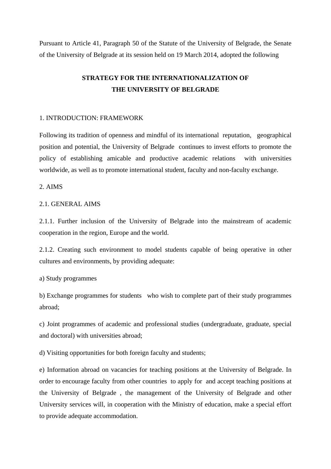Pursuant to Article 41, Paragraph 50 of the Statute of the University of Belgrade, the Senate of the University of Belgrade at its session held on 19 March 2014, adopted the following

# **STRATEGY FOR THE INTERNATIONALIZATION OF THE UNIVERSITY OF BELGRADE**

#### 1. INTRODUCTION: FRAMEWORK

Following its tradition of openness and mindful of its international reputation, geographical position and potential, the University of Belgrade continues to invest efforts to promote the policy of establishing amicable and productive academic relations with universities worldwide, as well as to promote international student, faculty and non-faculty exchange.

## 2. AIMS

## 2.1. GENERAL AIMS

2.1.1. Further inclusion of the University of Belgrade into the mainstream of academic cooperation in the region, Europe and the world.

2.1.2. Creating such environment to model students capable of being operative in other cultures and environments, by providing adequate:

a) Study programmes

b) Exchange programmes for students who wish to complete part of their study programmes abroad;

c) Joint programmes of academic and professional studies (undergraduate, graduate, special and doctoral) with universities abroad;

d) Visiting opportunities for both foreign faculty and students;

e) Information abroad on vacancies for teaching positions at the University of Belgrade. In order to encourage faculty from other countries to apply for and accept teaching positions at the University of Belgrade , the management of the University of Belgrade and other University services will, in cooperation with the Ministry of education, make a special effort to provide adequate accommodation.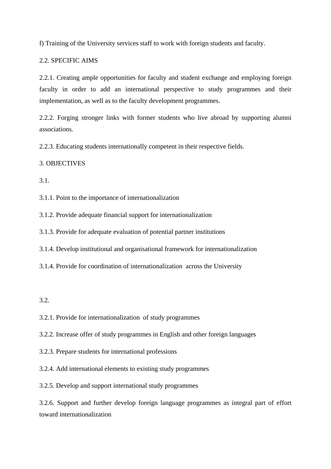f) Training of the University services staff to work with foreign students and faculty.

# 2.2. SPECIFIC AIMS

2.2.1. Creating ample opportunities for faculty and student exchange and employing foreign faculty in order to add an international perspective to study programmes and their implementation, as well as to the faculty development programmes.

2.2.2. Forging stronger links with former students who live abroad by supporting alumni associations.

2.2.3. Educating students internationally competent in their respective fields.

# 3. OBJECTIVES

3.1.

3.1.1. Point to the importance of internationalization

3.1.2. Provide adequate financial support for internationalization

3.1.3. Provide for adequate evaluation of potential partner institutions

3.1.4. Develop institutional and organisational framework for internationalization

3.1.4. Provide for coordination of internationalization across the University

3.2.

3.2.1. Provide for internationalization of study programmes

3.2.2. Increase offer of study programmes in English and other foreign languages

3.2.3. Prepare students for international professions

3.2.4. Add international elements to existing study programmes

3.2.5. Develop and support international study programmes

3.2.6. Support and further develop foreign language programmes as integral part of effort toward internationalization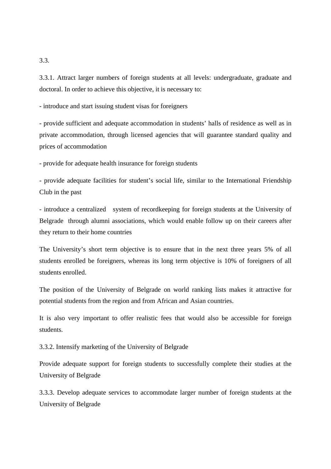3.3.1. Attract larger numbers of foreign students at all levels: undergraduate, graduate and doctoral. In order to achieve this objective, it is necessary to:

- introduce and start issuing student visas for foreigners

- provide sufficient and adequate accommodation in students' halls of residence as well as in private accommodation, through licensed agencies that will guarantee standard quality and prices of accommodation

- provide for adequate health insurance for foreign students

- provide adequate facilities for student's social life, similar to the International Friendship Club in the past

- introduce a centralized system of recordkeeping for foreign students at the University of Belgrade through alumni associations, which would enable follow up on their careers after they return to their home countries

The University's short term objective is to ensure that in the next three years 5% of all students enrolled be foreigners, whereas its long term objective is 10% of foreigners of all students enrolled.

The position of the University of Belgrade on world ranking lists makes it attractive for potential students from the region and from African and Asian countries.

It is also very important to offer realistic fees that would also be accessible for foreign students.

3.3.2. Intensify marketing of the University of Belgrade

Provide adequate support for foreign students to successfully complete their studies at the University of Belgrade

3.3.3. Develop adequate services to accommodate larger number of foreign students at the University of Belgrade

3.3.